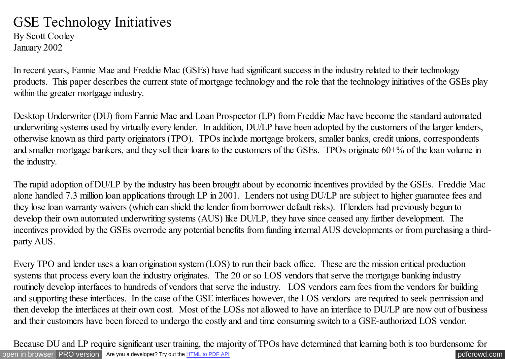## GSE Technology Initiatives

By Scott Cooley January 2002

In recent years, Fannie Mae and Freddie Mac (GSEs) have had significant success in the industry related to their technology products. This paper describes the current state of mortgage technology and the role that the technology initiatives of the GSEs play within the greater mortgage industry.

Desktop Underwriter (DU) from Fannie Mae and Loan Prospector (LP) from Freddie Mac have become the standard automated underwriting systems used by virtually every lender. In addition, DU/LP have been adopted by the customers of the larger lenders, otherwise known as third party originators (TPO). TPOs include mortgage brokers, smaller banks, credit unions, correspondents and smaller mortgage bankers, and they sell their loans to the customers of the GSEs. TPOs originate 60+% of the loan volume in the industry.

The rapid adoption of DU/LP by the industry has been brought about by economic incentives provided by the GSEs. Freddie Mac alone handled 7.3 million loan applications through LP in 2001. Lenders not using DU/LP are subject to higher guarantee fees and they lose loan warranty waivers (which can shield the lender from borrower default risks). If lenders had previously begun to develop their own automated underwriting systems (AUS) like DU/LP, they have since ceased any further development. The incentives provided by the GSEs overrode any potential benefits from funding internal AUS developments or from purchasing a thirdparty AUS.

Every TPO and lender uses a loan origination system (LOS) to run their back office. These are the mission critical production systems that process every loan the industry originates. The 20 or so LOS vendors that serve the mortgage banking industry routinely develop interfaces to hundreds of vendors that serve the industry. LOS vendors earn fees from the vendors for building and supporting these interfaces. In the case of the GSE interfaces however, the LOS vendors are required to seek permission and then develop the interfaces at their own cost. Most of the LOSs not allowed to have an interface to DU/LP are now out of business and their customers have been forced to undergo the costly and and time consuming switch to a GSE-authorized LOS vendor.

[open in browser](http://pdfcrowd.com/redirect/?url=http%3a%2f%2fscooley.com%2fgsetech3.htm&id=ma-140812023423-bb603db2) [PRO version](http://pdfcrowd.com/customize/) Are you a developer? Try out th[e HTML to PDF API](http://pdfcrowd.com/html-to-pdf-api/?ref=pdf) performance of the Area and the Area posterior of the Area posterior of the Area posterior of the Area posterior of the Area posterior of the Are Because DU and LP require significant user training, the majority of TPOs have determined that learning both is too burdensome for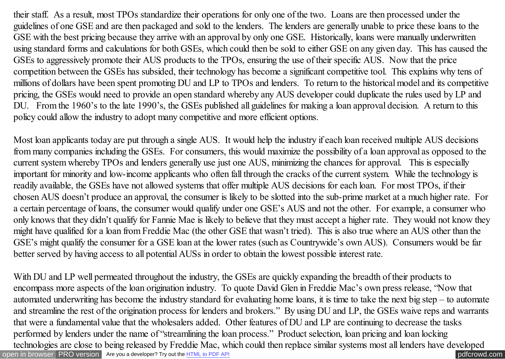their staff. As a result, most TPOs standardize their operations for only one of the two. Loans are then processed under the guidelines of one GSE and are then packaged and sold to the lenders. The lenders are generally unable to price these loans to the GSE with the best pricing because they arrive with an approval by only one GSE. Historically, loans were manually underwritten using standard forms and calculations for both GSEs, which could then be sold to either GSE on any given day. This has caused the GSEs to aggressively promote their AUS products to the TPOs, ensuring the use of their specific AUS. Now that the price competition between the GSEs has subsided, their technology has become a significant competitive tool. This explains why tens of millions of dollars have been spent promoting DU and LP to TPOs and lenders. To return to the historical model and its competitive pricing, the GSEs would need to provide an open standard whereby any AUS developer could duplicate the rules used by LP and DU. From the 1960's to the late 1990's, the GSEs published all guidelines for making a loan approval decision. A return to this policy could allow the industry to adopt many competitive and more efficient options.

Most loan applicants today are put through a single AUS. It would help the industry if each loan received multiple AUS decisions from many companies including the GSEs. For consumers, this would maximize the possibility of a loan approval as opposed to the current system whereby TPOs and lenders generally use just one AUS, minimizing the chances for approval. This is especially important for minority and low-income applicants who often fall through the cracks of the current system. While the technology is readily available, the GSEs have not allowed systems that offer multiple AUS decisions for each loan. For most TPOs, if their chosen AUS doesn't produce an approval, the consumer is likely to be slotted into the sub-prime market at a much higher rate. For a certain percentage of loans, the consumer would qualify under one GSE's AUS and not the other. For example, a consumer who only knows that they didn't qualify for Fannie Mae is likely to believe that they must accept a higher rate. They would not know they might have qualified for a loan from Freddie Mac (the other GSE that wasn't tried). This is also true where an AUS other than the GSE's might qualify the consumer for a GSE loan at the lower rates (such as Countrywide's own AUS). Consumers would be far better served by having access to all potential AUSs in order to obtain the lowest possible interest rate.

[open in browser](http://pdfcrowd.com/redirect/?url=http%3a%2f%2fscooley.com%2fgsetech3.htm&id=ma-140812023423-bb603db2) [PRO version](http://pdfcrowd.com/customize/) Are you a developer? Try out th[e HTML to PDF API](http://pdfcrowd.com/html-to-pdf-api/?ref=pdf) performance of the Area and the Area posterior of the Area posterior of the Area posterior of the Area posterior of the Area posterior of the Are With DU and LP well permeated throughout the industry, the GSEs are quickly expanding the breadth of their products to encompass more aspects of the loan origination industry. To quote David Glen in Freddie Mac's own press release, "Now that automated underwriting has become the industry standard for evaluating home loans, it is time to take the next big step – to automate and streamline the rest of the origination process for lenders and brokers." By using DU and LP, the GSEs waive reps and warrants that were a fundamental value that the wholesalers added. Other features of DU and LP are continuing to decrease the tasks performed by lenders under the name of "streamlining the loan process." Product selection, loan pricing and loan locking technologies are close to being released by Freddie Mac, which could then replace similar systems most all lenders have developed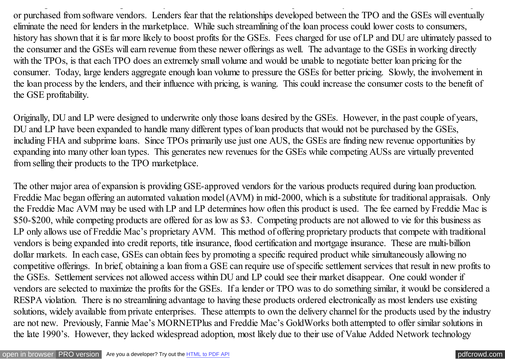or purchased from software vendors. Lenders fear that the relationships developed between the TPO and the GSEs will eventually eliminate the need for lenders in the marketplace. While such streamlining of the loan process could lower costs to consumers, history has shown that it is far more likely to boost profits for the GSEs. Fees charged for use of LP and DU are ultimately passed to the consumer and the GSEs will earn revenue from these newer offerings as well. The advantage to the GSEs in working directly with the TPOs, is that each TPO does an extremely small volume and would be unable to negotiate better loan pricing for the consumer. Today, large lenders aggregate enough loan volume to pressure the GSEs for better pricing. Slowly, the involvement in the loan process by the lenders, and their influence with pricing, is waning. This could increase the consumer costs to the benefit of the GSE profitability.

technologies are close to being released by Freddie Mac, which could then replace similar systems most all lenders have developed

Originally, DU and LP were designed to underwrite only those loans desired by the GSEs. However, in the past couple of years, DU and LP have been expanded to handle many different types of loan products that would not be purchased by the GSEs, including FHA and subprime loans. Since TPOs primarily use just one AUS, the GSEs are finding new revenue opportunities by expanding into many other loan types. This generates new revenues for the GSEs while competing AUSs are virtually prevented from selling their products to the TPO marketplace.

The other major area of expansion is providing GSE-approved vendors for the various products required during loan production. Freddie Mac began offering an automated valuation model (AVM) in mid-2000, which is a substitute for traditional appraisals. Only the Freddie Mac AVM may be used with LP and LP determines how often this product is used. The fee earned by Freddie Mac is \$50-\$200, while competing products are offered for as low as \$3. Competing products are not allowed to vie for this business as LP only allows use of Freddie Mac's proprietary AVM. This method of offering proprietary products that compete with traditional vendors is being expanded into credit reports, title insurance, flood certification and mortgage insurance. These are multi-billion dollar markets. In each case, GSEs can obtain fees by promoting a specific required product while simultaneously allowing no competitive offerings. In brief, obtaining a loan from a GSE can require use of specific settlement services that result in new profits to the GSEs. Settlement services not allowed access within DU and LP could see their market disappear. One could wonder if vendors are selected to maximize the profits for the GSEs. If a lender or TPO was to do something similar, it would be considered a RESPA violation. There is no streamlining advantage to having these products ordered electronically as most lenders use existing solutions, widely available from private enterprises. These attempts to own the delivery channel for the products used by the industry are not new. Previously, Fannie Mae's MORNETPlus and Freddie Mac's GoldWorks both attempted to offer similar solutions in the late 1990's. However, they lacked widespread adoption, most likely due to their use of Value Added Network technology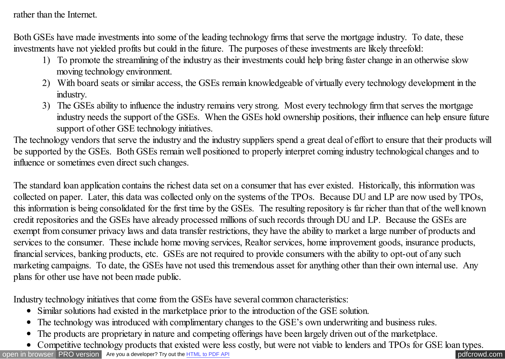rather than the Internet.

Both GSEs have made investments into some of the leading technology firms that serve the mortgage industry. To date, these investments have not yielded profits but could in the future. The purposes of these investments are likely threefold:

- 1) To promote the streamlining of the industry as their investments could help bring faster change in an otherwise slow moving technology environment.
- 2) With board seats or similar access, the GSEs remain knowledgeable of virtually every technology development in the industry.
- 3) The GSEs ability to influence the industry remains very strong. Most every technology firm that serves the mortgage industry needs the support of the GSEs. When the GSEs hold ownership positions, their influence can help ensure future support of other GSE technology initiatives.

The technology vendors that serve the industry and the industry suppliers spend a great deal of effort to ensure that their products will be supported by the GSEs. Both GSEs remain well positioned to properly interpret coming industry technological changes and to influence or sometimes even direct such changes.

The standard loan application contains the richest data set on a consumer that has ever existed. Historically, this information was collected on paper. Later, this data was collected only on the systems of the TPOs. Because DU and LP are now used by TPOs, this information is being consolidated for the first time by the GSEs. The resulting repository is far richer than that of the well known credit repositories and the GSEs have already processed millions of such records through DU and LP. Because the GSEs are exempt from consumer privacy laws and data transfer restrictions, they have the ability to market a large number of products and services to the consumer. These include home moving services, Realtor services, home improvement goods, insurance products, financial services, banking products, etc. GSEs are not required to provide consumers with the ability to opt-out of any such marketing campaigns. To date, the GSEs have not used this tremendous asset for anything other than their own internal use. Any plans for other use have not been made public.

Industry technology initiatives that come from the GSEs have several common characteristics:

- Similar solutions had existed in the marketplace prior to the introduction of the GSE solution.
- The technology was introduced with complimentary changes to the GSE's own underwriting and business rules.
- The products are proprietary in nature and competing offerings have been largely driven out of the marketplace.  $\bullet$
- Competitive technology products that existed were less costly, but were not viable to lenders and TPOs for GSE loan types.